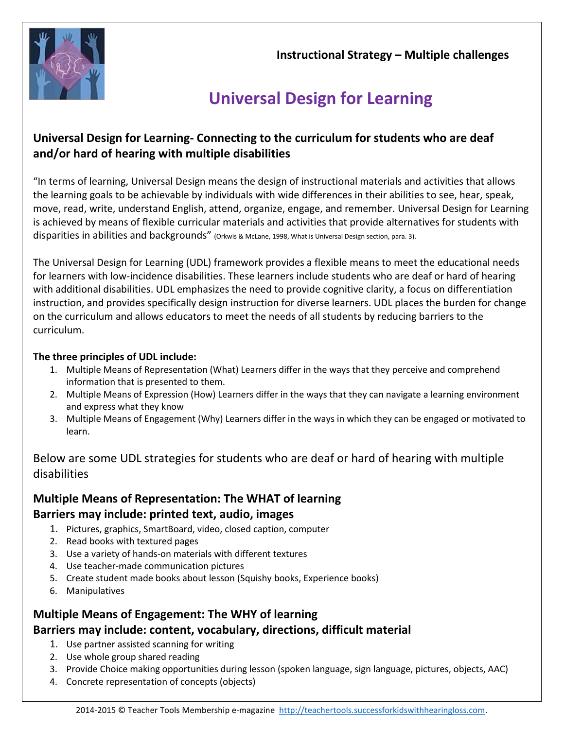**Instructional Strategy – Multiple challenges**



# **Universal Design for Learning**

## **Universal Design for Learning- Connecting to the curriculum for students who are deaf and/or hard of hearing with multiple disabilities**

"In terms of learning, Universal Design means the design of instructional materials and activities that allows the learning goals to be achievable by individuals with wide differences in their abilities to see, hear, speak, move, read, write, understand English, attend, organize, engage, and remember. Universal Design for Learning is achieved by means of flexible curricular materials and activities that provide alternatives for students with disparities in abilities and backgrounds" (Orkwis & McLane, 1998, What is Universal Design section, para. 3).

The Universal Design for Learning (UDL) framework provides a flexible means to meet the educational needs for learners with low-incidence disabilities. These learners include students who are deaf or hard of hearing with additional disabilities. UDL emphasizes the need to provide cognitive clarity, a focus on differentiation instruction, and provides specifically design instruction for diverse learners. UDL places the burden for change on the curriculum and allows educators to meet the needs of all students by reducing barriers to the curriculum.

#### **The three principles of UDL include:**

- 1. Multiple Means of Representation (What) Learners differ in the ways that they perceive and comprehend information that is presented to them.
- 2. Multiple Means of Expression (How) Learners differ in the ways that they can navigate a learning environment and express what they know
- 3. Multiple Means of Engagement (Why) Learners differ in the ways in which they can be engaged or motivated to learn.

Below are some UDL strategies for students who are deaf or hard of hearing with multiple disabilities

## **Multiple Means of Representation: The WHAT of learning Barriers may include: printed text, audio, images**

- 1. Pictures, graphics, SmartBoard, video, closed caption, computer
- 2. Read books with textured pages
- 3. Use a variety of hands-on materials with different textures
- 4. Use teacher-made communication pictures
- 5. Create student made books about lesson (Squishy books, Experience books)
- 6. Manipulatives

## **Multiple Means of Engagement: The WHY of learning Barriers may include: content, vocabulary, directions, difficult material**

- 1. Use partner assisted scanning for writing
- 2. Use whole group shared reading
- 3. Provide Choice making opportunities during lesson (spoken language, sign language, pictures, objects, AAC)
- 4. Concrete representation of concepts (objects)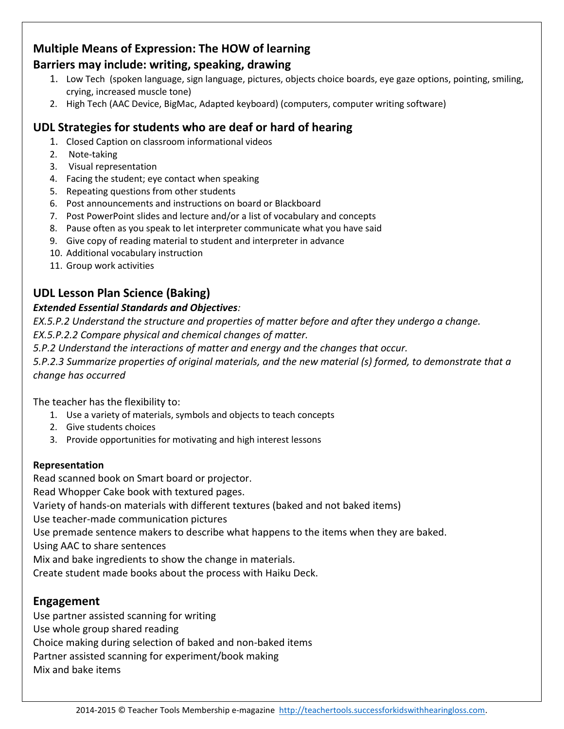### **Multiple Means of Expression: The HOW of learning Barriers may include: writing, speaking, drawing**

- 1. Low Tech (spoken language, sign language, pictures, objects choice boards, eye gaze options, pointing, smiling, crying, increased muscle tone)
- 2. High Tech (AAC Device, BigMac, Adapted keyboard) (computers, computer writing software)

## **UDL Strategies for students who are deaf or hard of hearing**

- 1. Closed Caption on classroom informational videos
- 2. Note-taking
- 3. Visual representation
- 4. Facing the student; eye contact when speaking
- 5. Repeating questions from other students
- 6. Post announcements and instructions on board or Blackboard
- 7. Post PowerPoint slides and lecture and/or a list of vocabulary and concepts
- 8. Pause often as you speak to let interpreter communicate what you have said
- 9. Give copy of reading material to student and interpreter in advance
- 10. Additional vocabulary instruction
- 11. Group work activities

# **UDL Lesson Plan Science (Baking)**

#### *Extended Essential Standards and Objectives:*

*EX.5.P.2 Understand the structure and properties of matter before and after they undergo a change. EX.5.P.2.2 Compare physical and chemical changes of matter.*

*5.P.2 Understand the interactions of matter and energy and the changes that occur.*

*5.P.2.3 Summarize properties of original materials, and the new material (s) formed, to demonstrate that a change has occurred*

The teacher has the flexibility to:

- 1. Use a variety of materials, symbols and objects to teach concepts
- 2. Give students choices
- 3. Provide opportunities for motivating and high interest lessons

#### **Representation**

Read scanned book on Smart board or projector. Read Whopper Cake book with textured pages. Variety of hands-on materials with different textures (baked and not baked items) Use teacher-made communication pictures Use premade sentence makers to describe what happens to the items when they are baked. Using AAC to share sentences Mix and bake ingredients to show the change in materials. Create student made books about the process with Haiku Deck.

### **Engagement**

Use partner assisted scanning for writing Use whole group shared reading Choice making during selection of baked and non-baked items Partner assisted scanning for experiment/book making Mix and bake items